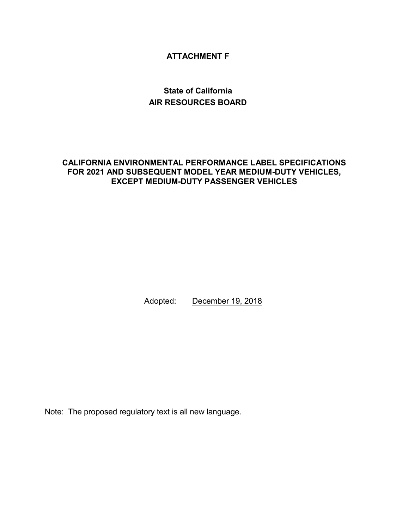### **ATTACHMENT F**

# **State of California AIR RESOURCES BOARD**

#### **CALIFORNIA ENVIRONMENTAL PERFORMANCE LABEL SPECIFICATIONS FOR 2021 AND SUBSEQUENT MODEL YEAR MEDIUM-DUTY VEHICLES, EXCEPT MEDIUM-DUTY PASSENGER VEHICLES**

Adopted: December 19, 2018

Note: The proposed regulatory text is all new language.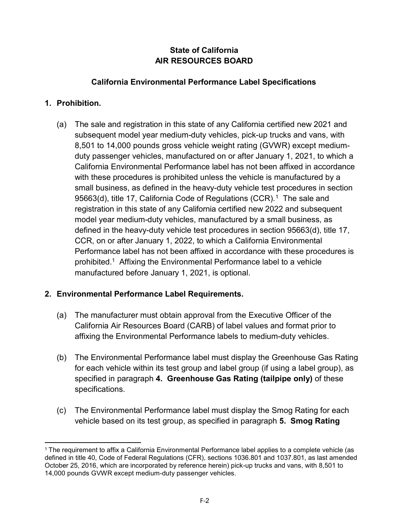## **State of California AIR RESOURCES BOARD**

### **California Environmental Performance Label Specifications**

### **1. Prohibition.**

(a) The sale and registration in this state of any California certified new 2021 and subsequent model year medium-duty vehicles, pick-up trucks and vans, with 8,501 to 14,000 pounds gross vehicle weight rating (GVWR) except mediumduty passenger vehicles, manufactured on or after January 1, 2021, to which a California Environmental Performance label has not been affixed in accordance with these procedures is prohibited unless the vehicle is manufactured by a small business, as defined in the heavy-duty vehicle test procedures in section 95663(d), title [1](#page-1-0)7, California Code of Regulations (CCR). $^\mathrm{1}\,$  The sale and registration in this state of any California certified new 2022 and subsequent model year medium-duty vehicles, manufactured by a small business, as defined in the heavy-duty vehicle test procedures in section 95663(d), title 17, CCR, on or after January 1, 2022, to which a California Environmental Performance label has not been affixed in accordance with these procedures is prohibited.1 Affixing the Environmental Performance label to a vehicle manufactured before January 1, 2021, is optional.

## **2. Environmental Performance Label Requirements.**

- (a) The manufacturer must obtain approval from the Executive Officer of the California Air Resources Board (CARB) of label values and format prior to affixing the Environmental Performance labels to medium-duty vehicles.
- (b) The Environmental Performance label must display the Greenhouse Gas Rating for each vehicle within its test group and label group (if using a label group), as specified in paragraph **4. Greenhouse Gas Rating (tailpipe only)** of these specifications.
- (c) The Environmental Performance label must display the Smog Rating for each vehicle based on its test group, as specified in paragraph **5. Smog Rating**

<span id="page-1-0"></span> $\overline{a}$ <sup>1</sup> The requirement to affix a California Environmental Performance label applies to a complete vehicle (as defined in title 40, Code of Federal Regulations (CFR), sections 1036.801 and 1037.801, as last amended October 25, 2016, which are incorporated by reference herein) pick-up trucks and vans, with 8,501 to 14,000 pounds GVWR except medium-duty passenger vehicles.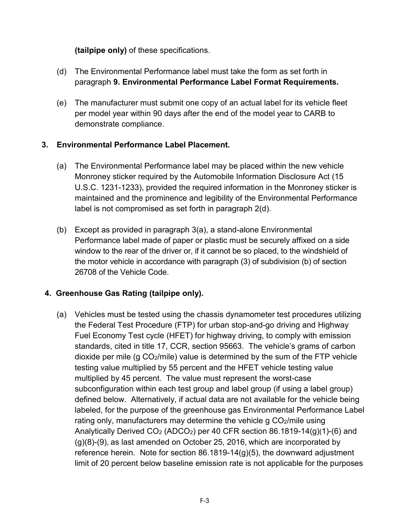### **(tailpipe only)** of these specifications.

- (d) The Environmental Performance label must take the form as set forth in paragraph **9. Environmental Performance Label Format Requirements.**
- (e) The manufacturer must submit one copy of an actual label for its vehicle fleet per model year within 90 days after the end of the model year to CARB to demonstrate compliance.

#### **3. Environmental Performance Label Placement.**

- (a) The Environmental Performance label may be placed within the new vehicle Monroney sticker required by the Automobile Information Disclosure Act (15 U.S.C. 1231-1233), provided the required information in the Monroney sticker is maintained and the prominence and legibility of the Environmental Performance label is not compromised as set forth in paragraph 2(d).
- (b) Except as provided in paragraph 3(a), a stand-alone Environmental Performance label made of paper or plastic must be securely affixed on a side window to the rear of the driver or, if it cannot be so placed, to the windshield of the motor vehicle in accordance with paragraph (3) of subdivision (b) of section 26708 of the Vehicle Code.

### **4. Greenhouse Gas Rating (tailpipe only).**

(a) Vehicles must be tested using the chassis dynamometer test procedures utilizing the Federal Test Procedure (FTP) for urban stop-and-go driving and Highway Fuel Economy Test cycle (HFET) for highway driving, to comply with emission standards, cited in title 17, CCR, section 95663. The vehicle's grams of carbon dioxide per mile (g CO2/mile) value is determined by the sum of the FTP vehicle testing value multiplied by 55 percent and the HFET vehicle testing value multiplied by 45 percent. The value must represent the worst-case subconfiguration within each test group and label group (if using a label group) defined below. Alternatively, if actual data are not available for the vehicle being labeled, for the purpose of the greenhouse gas Environmental Performance Label rating only, manufacturers may determine the vehicle g  $CO<sub>2</sub>/mile$  using Analytically Derived  $CO<sub>2</sub>$  (ADCO<sub>2</sub>) per 40 CFR section 86.1819-14(g)(1)-(6) and (g)(8)-(9), as last amended on October 25, 2016, which are incorporated by reference herein. Note for section 86.1819-14 $(q)(5)$ , the downward adjustment limit of 20 percent below baseline emission rate is not applicable for the purposes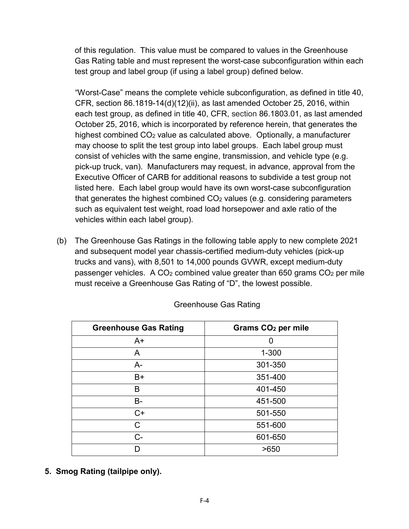of this regulation. This value must be compared to values in the Greenhouse Gas Rating table and must represent the worst-case subconfiguration within each test group and label group (if using a label group) defined below.

"Worst-Case" means the complete vehicle subconfiguration, as defined in title 40, CFR, section 86.1819-14(d)(12)(ii), as last amended October 25, 2016, within each test group, as defined in title 40, CFR, section 86.1803.01, as last amended October 25, 2016, which is incorporated by reference herein, that generates the highest combined CO2 value as calculated above. Optionally, a manufacturer may choose to split the test group into label groups. Each label group must consist of vehicles with the same engine, transmission, and vehicle type (e.g. pick-up truck, van). Manufacturers may request, in advance, approval from the Executive Officer of CARB for additional reasons to subdivide a test group not listed here. Each label group would have its own worst-case subconfiguration that generates the highest combined  $CO<sub>2</sub>$  values (e.g. considering parameters such as equivalent test weight, road load horsepower and axle ratio of the vehicles within each label group).

(b) The Greenhouse Gas Ratings in the following table apply to new complete 2021 and subsequent model year chassis-certified medium-duty vehicles (pick-up trucks and vans), with 8,501 to 14,000 pounds GVWR, except medium-duty passenger vehicles. A CO2 combined value greater than 650 grams CO2 per mile must receive a Greenhouse Gas Rating of "D", the lowest possible.

| <b>Greenhouse Gas Rating</b> | Grams CO <sub>2</sub> per mile |  |
|------------------------------|--------------------------------|--|
| $A+$                         | O                              |  |
| A                            | $1 - 300$                      |  |
| $A -$                        | 301-350                        |  |
| $B+$                         | 351-400                        |  |
| B                            | 401-450                        |  |
| <b>B-</b>                    | 451-500                        |  |
| $C+$                         | 501-550                        |  |
| C                            | 551-600                        |  |
| $C -$                        | 601-650                        |  |
| n                            | >650                           |  |

Greenhouse Gas Rating

**5. Smog Rating (tailpipe only).**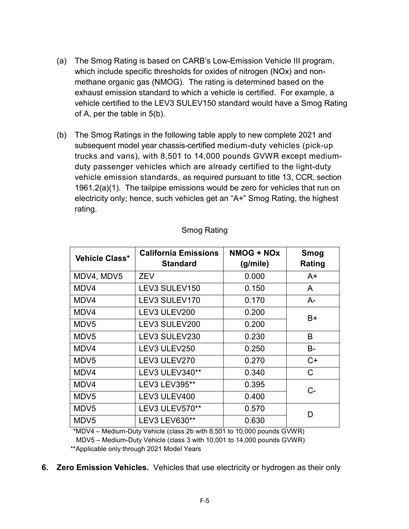- (a) The Smog Rating is based on CARB's Low-Emission Vehicle III program, which include specific thresholds for oxides of nitrogen (NOx) and nonmethane organic gas (NMOG). The rating is determined based on the exhaust emission standard to which a vehicle is certified. For example, a vehicle certified to the LEV3 SULEV150 standard would have a Smog Rating of A, per the table in 5(b).
- (b) The Smog Ratings in the following table apply to new complete 2021 and subsequent model year chassis-certified medium-duty vehicles (pick-up trucks and vans), with 8,501 to 14,000 pounds GVWR except mediumduty passenger vehicles which are already certified to the light-duty vehicle emission standards, as required pursuant to title 13, CCR, section 1961.2(a)(1). The tailpipe emissions would be zero for vehicles that run on electricity only; hence, such vehicles get an "A+" Smog Rating, the highest rating.

| Vehicle Class*   | <b>California Emissions</b><br><b>Standard</b> | <b>NMOG + NOx</b><br>(g/mile) | Smog<br>Rating |
|------------------|------------------------------------------------|-------------------------------|----------------|
| MDV4, MDV5       | <b>ZEV</b>                                     | 0.000                         | $A+$           |
| MDV4             | LEV3 SULEV150                                  | 0.150                         | A              |
| MDV4             | LEV3 SULEV170                                  | 0.170                         | $A-$           |
| MDV4             | LEV3 ULEV200                                   | 0.200                         | $B+$           |
| MDV <sub>5</sub> | LEV3 SULEV200                                  | 0.200                         |                |
| MDV <sub>5</sub> | LEV3 SULEV230                                  | 0.230                         | B              |
| MDV4             | LEV3 ULEV250                                   | 0.250                         | <b>B-</b>      |
| MDV <sub>5</sub> | LEV3 ULEV270                                   | 0.270                         | $C+$           |
| MDV4             | LEV3 ULEV340**                                 | 0.340                         | C              |
| MDV4             | LEV3 LEV395**                                  | 0.395                         | C-             |
| MDV <sub>5</sub> | LEV3 ULEV400                                   | 0.400                         |                |
| MDV <sub>5</sub> | LEV3 ULEV570**                                 | 0.570                         | D              |
| MDV <sub>5</sub> | LEV3 LEV630**                                  | 0.630                         |                |

#### Smog Rating

 \*MDV4 – Medium-Duty Vehicle (class 2b with 8,501 to 10,000 pounds GVWR) MDV5 – Medium-Duty Vehicle (class 3 with 10,001 to 14,000 pounds GVWR)

\*\*Applicable only through 2021 Model Years

**6. Zero Emission Vehicles.** Vehicles that use electricity or hydrogen as their only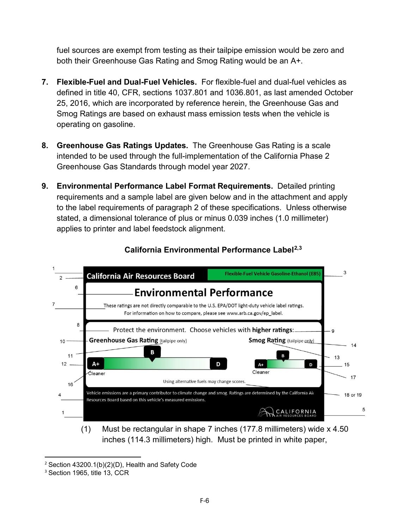fuel sources are exempt from testing as their tailpipe emission would be zero and both their Greenhouse Gas Rating and Smog Rating would be an A+.

- **7. Flexible-Fuel and Dual-Fuel Vehicles.** For flexible-fuel and dual-fuel vehicles as defined in title 40, CFR, sections 1037.801 and 1036.801, as last amended October 25, 2016, which are incorporated by reference herein, the Greenhouse Gas and Smog Ratings are based on exhaust mass emission tests when the vehicle is operating on gasoline.
- **8. Greenhouse Gas Ratings Updates.** The Greenhouse Gas Rating is a scale intended to be used through the full-implementation of the California Phase 2 Greenhouse Gas Standards through model year 2027.
- **9. Environmental Performance Label Format Requirements.** Detailed printing requirements and a sample label are given below and in the attachment and apply to the label requirements of paragraph 2 of these specifications. Unless otherwise stated, a dimensional tolerance of plus or minus 0.039 inches (1.0 millimeter) applies to printer and label feedstock alignment.



### **California Environmental Performance Label[2](#page-5-0),[3](#page-5-1)**

(1) Must be rectangular in shape 7 inches (177.8 millimeters) wide x 4.50 inches (114.3 millimeters) high. Must be printed in white paper,

<span id="page-5-0"></span> <sup>2</sup> Section 43200.1(b)(2)(D), Health and Safety Code

<span id="page-5-1"></span><sup>&</sup>lt;sup>3</sup> Section 1965, title 13, CCR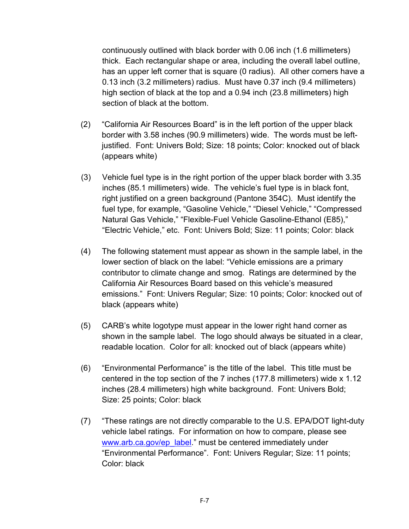continuously outlined with black border with 0.06 inch (1.6 millimeters) thick. Each rectangular shape or area, including the overall label outline, has an upper left corner that is square (0 radius). All other corners have a 0.13 inch (3.2 millimeters) radius. Must have 0.37 inch (9.4 millimeters) high section of black at the top and a 0.94 inch (23.8 millimeters) high section of black at the bottom.

- (2) "California Air Resources Board" is in the left portion of the upper black border with 3.58 inches (90.9 millimeters) wide. The words must be leftjustified. Font: Univers Bold; Size: 18 points; Color: knocked out of black (appears white)
- (3) Vehicle fuel type is in the right portion of the upper black border with 3.35 inches (85.1 millimeters) wide. The vehicle's fuel type is in black font, right justified on a green background (Pantone 354C). Must identify the fuel type, for example, "Gasoline Vehicle," "Diesel Vehicle," "Compressed Natural Gas Vehicle," "Flexible-Fuel Vehicle Gasoline-Ethanol (E85)," "Electric Vehicle," etc. Font: Univers Bold; Size: 11 points; Color: black
- (4) The following statement must appear as shown in the sample label, in the lower section of black on the label: "Vehicle emissions are a primary contributor to climate change and smog. Ratings are determined by the California Air Resources Board based on this vehicle's measured emissions." Font: Univers Regular; Size: 10 points; Color: knocked out of black (appears white)
- (5) CARB's white logotype must appear in the lower right hand corner as shown in the sample label. The logo should always be situated in a clear, readable location. Color for all: knocked out of black (appears white)
- (6) "Environmental Performance" is the title of the label. This title must be centered in the top section of the 7 inches (177.8 millimeters) wide x 1.12 inches (28.4 millimeters) high white background. Font: Univers Bold; Size: 25 points; Color: black
- (7) "These ratings are not directly comparable to the U.S. EPA/DOT light-duty vehicle label ratings. For information on how to compare, please see [www.arb.ca.gov/ep\\_label.](http://www.arb.ca.gov/ep_label)" must be centered immediately under "Environmental Performance". Font: Univers Regular; Size: 11 points; Color: black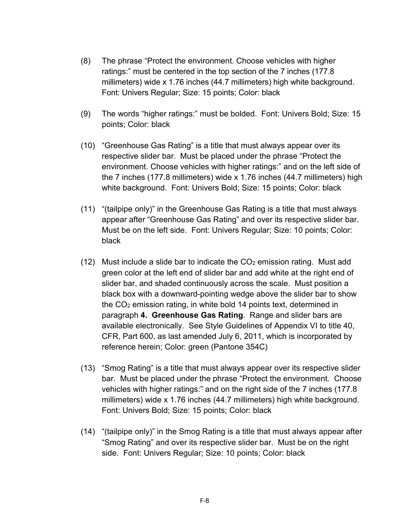- (8) The phrase "Protect the environment. Choose vehicles with higher ratings:" must be centered in the top section of the 7 inches (177.8 millimeters) wide x 1.76 inches (44.7 millimeters) high white background. Font: Univers Regular; Size: 15 points; Color: black
- (9) The words "higher ratings:" must be bolded. Font: Univers Bold; Size: 15 points; Color: black
- (10) "Greenhouse Gas Rating" is a title that must always appear over its respective slider bar. Must be placed under the phrase "Protect the environment. Choose vehicles with higher ratings:" and on the left side of the 7 inches (177.8 millimeters) wide x 1.76 inches (44.7 millimeters) high white background. Font: Univers Bold; Size: 15 points; Color: black
- (11) "(tailpipe only)" in the Greenhouse Gas Rating is a title that must always appear after "Greenhouse Gas Rating" and over its respective slider bar. Must be on the left side. Font: Univers Regular; Size: 10 points; Color: black
- (12) Must include a slide bar to indicate the  $CO<sub>2</sub>$  emission rating. Must add green color at the left end of slider bar and add white at the right end of slider bar, and shaded continuously across the scale. Must position a black box with a downward-pointing wedge above the slider bar to show the CO2 emission rating, in white bold 14 points text, determined in paragraph **4. Greenhouse Gas Rating**. Range and slider bars are available electronically. See Style Guidelines of Appendix VI to title 40, CFR, Part 600, as last amended July 6, 2011, which is incorporated by reference herein; Color: green (Pantone 354C)
- (13) "Smog Rating" is a title that must always appear over its respective slider bar. Must be placed under the phrase "Protect the environment. Choose vehicles with higher ratings:" and on the right side of the 7 inches (177.8 millimeters) wide x 1.76 inches (44.7 millimeters) high white background. Font: Univers Bold; Size: 15 points; Color: black
- (14) "(tailpipe only)" in the Smog Rating is a title that must always appear after "Smog Rating" and over its respective slider bar. Must be on the right side. Font: Univers Regular; Size: 10 points; Color: black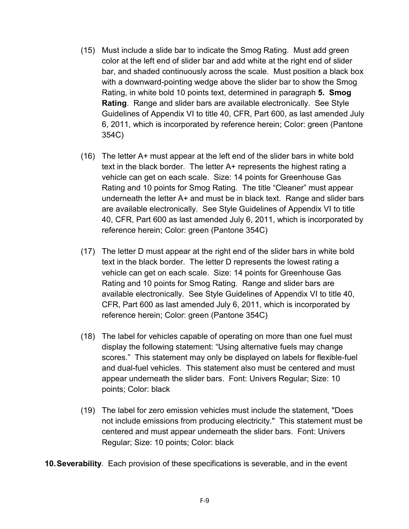- (15) Must include a slide bar to indicate the Smog Rating. Must add green color at the left end of slider bar and add white at the right end of slider bar, and shaded continuously across the scale. Must position a black box with a downward-pointing wedge above the slider bar to show the Smog Rating, in white bold 10 points text, determined in paragraph **5. Smog Rating**. Range and slider bars are available electronically. See Style Guidelines of Appendix VI to title 40, CFR, Part 600, as last amended July 6, 2011, which is incorporated by reference herein; Color: green (Pantone 354C)
- (16) The letter A+ must appear at the left end of the slider bars in white bold text in the black border. The letter A+ represents the highest rating a vehicle can get on each scale. Size: 14 points for Greenhouse Gas Rating and 10 points for Smog Rating. The title "Cleaner" must appear underneath the letter A+ and must be in black text. Range and slider bars are available electronically. See Style Guidelines of Appendix VI to title 40, CFR, Part 600 as last amended July 6, 2011, which is incorporated by reference herein; Color: green (Pantone 354C)
- (17) The letter D must appear at the right end of the slider bars in white bold text in the black border. The letter D represents the lowest rating a vehicle can get on each scale. Size: 14 points for Greenhouse Gas Rating and 10 points for Smog Rating. Range and slider bars are available electronically. See Style Guidelines of Appendix VI to title 40, CFR, Part 600 as last amended July 6, 2011, which is incorporated by reference herein; Color: green (Pantone 354C)
- (18) The label for vehicles capable of operating on more than one fuel must display the following statement: "Using alternative fuels may change scores." This statement may only be displayed on labels for flexible-fuel and dual-fuel vehicles. This statement also must be centered and must appear underneath the slider bars. Font: Univers Regular; Size: 10 points; Color: black
- (19) The label for zero emission vehicles must include the statement, "Does not include emissions from producing electricity." This statement must be centered and must appear underneath the slider bars. Font: Univers Regular; Size: 10 points; Color: black

**10.Severability**. Each provision of these specifications is severable, and in the event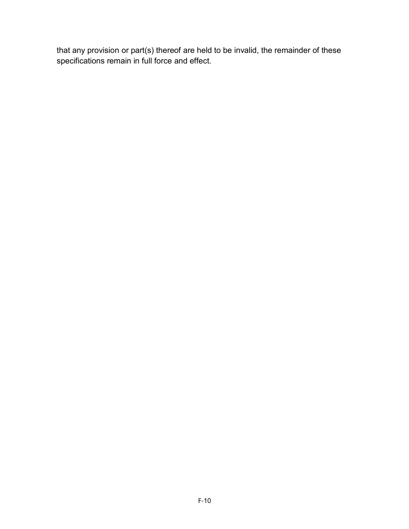that any provision or part(s) thereof are held to be invalid, the remainder of these specifications remain in full force and effect.